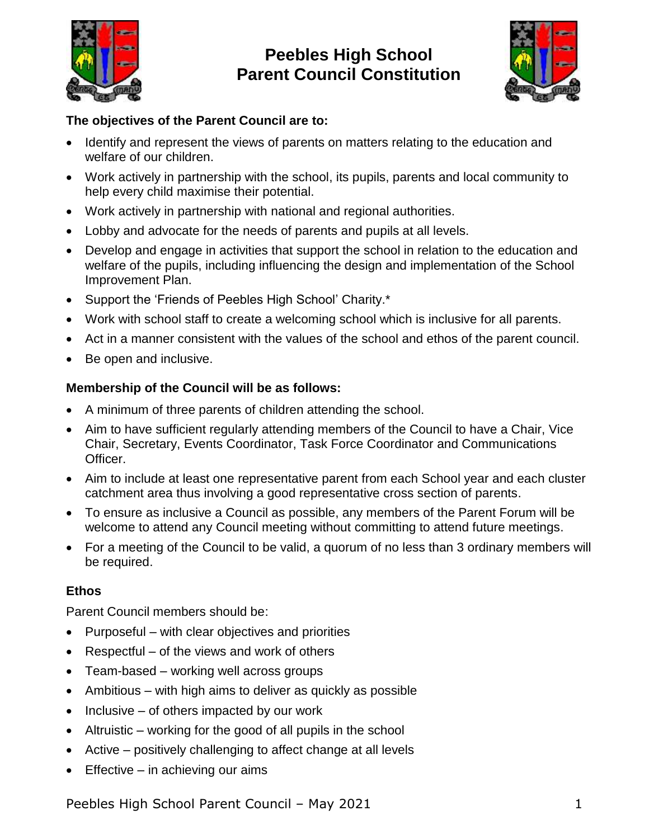

# **1. Peebles High School 2. Parent Council Constitution**



# **The objectives of the Parent Council are to:**

- Identify and represent the views of parents on matters relating to the education and welfare of our children.
- Work actively in partnership with the school, its pupils, parents and local community to help every child maximise their potential.
- Work actively in partnership with national and regional authorities.
- Lobby and advocate for the needs of parents and pupils at all levels.
- Develop and engage in activities that support the school in relation to the education and welfare of the pupils, including influencing the design and implementation of the School Improvement Plan.
- Support the 'Friends of Peebles High School' Charity.\*
- Work with school staff to create a welcoming school which is inclusive for all parents.
- Act in a manner consistent with the values of the school and ethos of the parent council.
- Be open and inclusive.

# **Membership of the Council will be as follows:**

- A minimum of three parents of children attending the school.
- Aim to have sufficient regularly attending members of the Council to have a Chair, Vice Chair, Secretary, Events Coordinator, Task Force Coordinator and Communications Officer.
- Aim to include at least one representative parent from each School year and each cluster catchment area thus involving a good representative cross section of parents.
- To ensure as inclusive a Council as possible, any members of the Parent Forum will be welcome to attend any Council meeting without committing to attend future meetings.
- For a meeting of the Council to be valid, a quorum of no less than 3 ordinary members will be required.

# **Ethos**

Parent Council members should be:

- $\bullet$  Purposeful with clear objectives and priorities
- Respectful of the views and work of others
- Team-based working well across groups
- $\bullet$  Ambitious with high aims to deliver as quickly as possible
- $\bullet$  Inclusive of others impacted by our work
- Altruistic working for the good of all pupils in the school
- Active positively challenging to affect change at all levels
- $\bullet$  Effective in achieving our aims

Peebles High School Parent Council – May 2021 1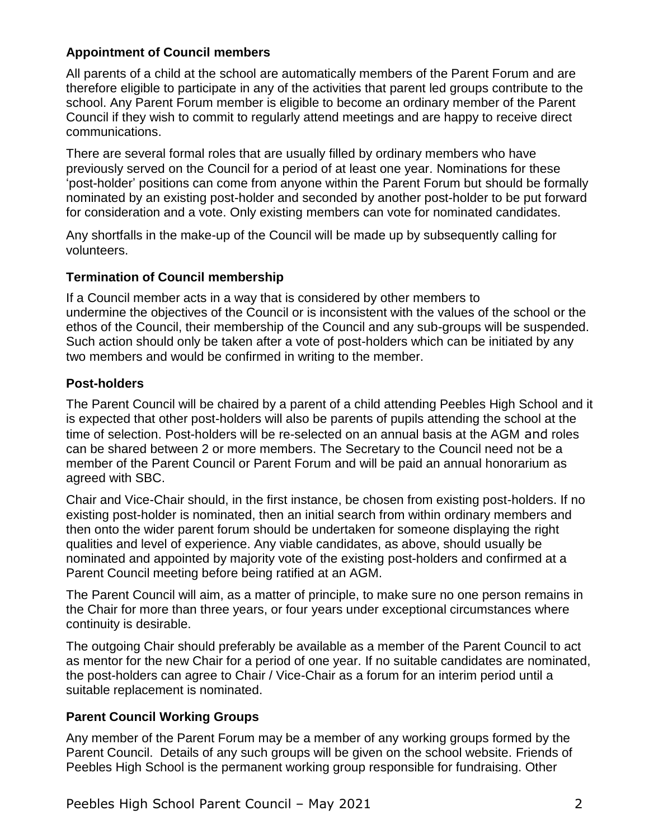## **Appointment of Council members**

All parents of a child at the school are automatically members of the Parent Forum and are therefore eligible to participate in any of the activities that parent led groups contribute to the school. Any Parent Forum member is eligible to become an ordinary member of the Parent Council if they wish to commit to regularly attend meetings and are happy to receive direct communications.

There are several formal roles that are usually filled by ordinary members who have previously served on the Council for a period of at least one year. Nominations for these 'post-holder' positions can come from anyone within the Parent Forum but should be formally nominated by an existing post-holder and seconded by another post-holder to be put forward for consideration and a vote. Only existing members can vote for nominated candidates.

Any shortfalls in the make-up of the Council will be made up by subsequently calling for volunteers.

#### **Termination of Council membership**

If a Council member acts in a way that is considered by other members to undermine the objectives of the Council or is inconsistent with the values of the school or the ethos of the Council, their membership of the Council and any sub-groups will be suspended. Such action should only be taken after a vote of post-holders which can be initiated by any two members and would be confirmed in writing to the member.

### **Post-holders**

The Parent Council will be chaired by a parent of a child attending Peebles High School and it is expected that other post-holders will also be parents of pupils attending the school at the time of selection. Post-holders will be re-selected on an annual basis at the AGM and roles can be shared between 2 or more members. The Secretary to the Council need not be a member of the Parent Council or Parent Forum and will be paid an annual honorarium as agreed with SBC.

Chair and Vice-Chair should, in the first instance, be chosen from existing post-holders. If no existing post-holder is nominated, then an initial search from within ordinary members and then onto the wider parent forum should be undertaken for someone displaying the right qualities and level of experience. Any viable candidates, as above, should usually be nominated and appointed by majority vote of the existing post-holders and confirmed at a Parent Council meeting before being ratified at an AGM.

The Parent Council will aim, as a matter of principle, to make sure no one person remains in the Chair for more than three years, or four years under exceptional circumstances where continuity is desirable.

The outgoing Chair should preferably be available as a member of the Parent Council to act as mentor for the new Chair for a period of one year. If no suitable candidates are nominated, the post-holders can agree to Chair / Vice-Chair as a forum for an interim period until a suitable replacement is nominated.

### **Parent Council Working Groups**

Any member of the Parent Forum may be a member of any working groups formed by the Parent Council. Details of any such groups will be given on the school website. Friends of Peebles High School is the permanent working group responsible for fundraising. Other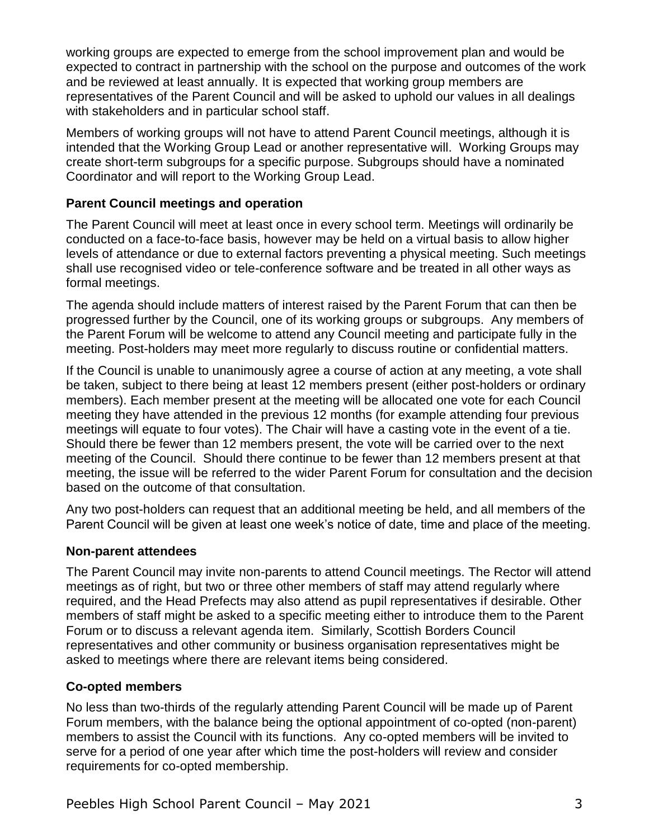working groups are expected to emerge from the school improvement plan and would be expected to contract in partnership with the school on the purpose and outcomes of the work and be reviewed at least annually. It is expected that working group members are representatives of the Parent Council and will be asked to uphold our values in all dealings with stakeholders and in particular school staff.

Members of working groups will not have to attend Parent Council meetings, although it is intended that the Working Group Lead or another representative will. Working Groups may create short-term subgroups for a specific purpose. Subgroups should have a nominated Coordinator and will report to the Working Group Lead.

## **Parent Council meetings and operation**

The Parent Council will meet at least once in every school term. Meetings will ordinarily be conducted on a face-to-face basis, however may be held on a virtual basis to allow higher levels of attendance or due to external factors preventing a physical meeting. Such meetings shall use recognised video or tele-conference software and be treated in all other ways as formal meetings.

The agenda should include matters of interest raised by the Parent Forum that can then be progressed further by the Council, one of its working groups or subgroups. Any members of the Parent Forum will be welcome to attend any Council meeting and participate fully in the meeting. Post-holders may meet more regularly to discuss routine or confidential matters.

If the Council is unable to unanimously agree a course of action at any meeting, a vote shall be taken, subject to there being at least 12 members present (either post-holders or ordinary members). Each member present at the meeting will be allocated one vote for each Council meeting they have attended in the previous 12 months (for example attending four previous meetings will equate to four votes). The Chair will have a casting vote in the event of a tie. Should there be fewer than 12 members present, the vote will be carried over to the next meeting of the Council. Should there continue to be fewer than 12 members present at that meeting, the issue will be referred to the wider Parent Forum for consultation and the decision based on the outcome of that consultation.

Any two post-holders can request that an additional meeting be held, and all members of the Parent Council will be given at least one week's notice of date, time and place of the meeting.

### **Non-parent attendees**

The Parent Council may invite non-parents to attend Council meetings. The Rector will attend meetings as of right, but two or three other members of staff may attend regularly where required, and the Head Prefects may also attend as pupil representatives if desirable. Other members of staff might be asked to a specific meeting either to introduce them to the Parent Forum or to discuss a relevant agenda item. Similarly, Scottish Borders Council representatives and other community or business organisation representatives might be asked to meetings where there are relevant items being considered.

# **Co-opted members**

No less than two-thirds of the regularly attending Parent Council will be made up of Parent Forum members, with the balance being the optional appointment of co-opted (non-parent) members to assist the Council with its functions. Any co-opted members will be invited to serve for a period of one year after which time the post-holders will review and consider requirements for co-opted membership.